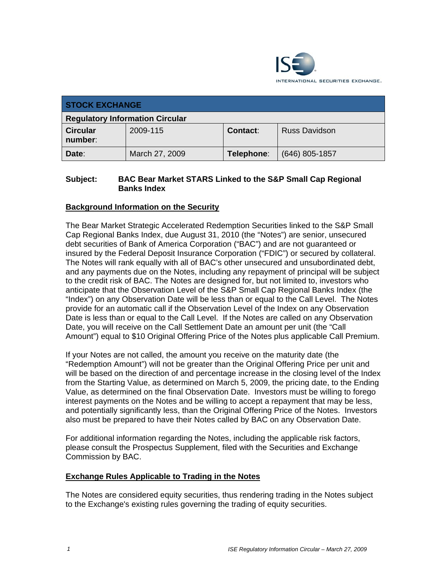

| <b>STOCK EXCHANGE</b>                  |                |            |                      |
|----------------------------------------|----------------|------------|----------------------|
| <b>Regulatory Information Circular</b> |                |            |                      |
| <b>Circular</b><br>number:             | 2009-115       | Contact:   | <b>Russ Davidson</b> |
| Date:                                  | March 27, 2009 | Telephone: | $(646)$ 805-1857     |

#### **Subject: BAC Bear Market STARS Linked to the S&P Small Cap Regional Banks Index**

## **Background Information on the Security**

The Bear Market Strategic Accelerated Redemption Securities linked to the S&P Small Cap Regional Banks Index, due August 31, 2010 (the "Notes") are senior, unsecured debt securities of Bank of America Corporation ("BAC") and are not guaranteed or insured by the Federal Deposit Insurance Corporation ("FDIC") or secured by collateral. The Notes will rank equally with all of BAC's other unsecured and unsubordinated debt, and any payments due on the Notes, including any repayment of principal will be subject to the credit risk of BAC. The Notes are designed for, but not limited to, investors who anticipate that the Observation Level of the S&P Small Cap Regional Banks Index (the "Index") on any Observation Date will be less than or equal to the Call Level. The Notes provide for an automatic call if the Observation Level of the Index on any Observation Date is less than or equal to the Call Level. If the Notes are called on any Observation Date, you will receive on the Call Settlement Date an amount per unit (the "Call Amount") equal to \$10 Original Offering Price of the Notes plus applicable Call Premium.

If your Notes are not called, the amount you receive on the maturity date (the "Redemption Amount") will not be greater than the Original Offering Price per unit and will be based on the direction of and percentage increase in the closing level of the Index from the Starting Value, as determined on March 5, 2009, the pricing date, to the Ending Value, as determined on the final Observation Date. Investors must be willing to forego interest payments on the Notes and be willing to accept a repayment that may be less, and potentially significantly less, than the Original Offering Price of the Notes. Investors also must be prepared to have their Notes called by BAC on any Observation Date.

For additional information regarding the Notes, including the applicable risk factors, please consult the Prospectus Supplement, filed with the Securities and Exchange Commission by BAC.

#### **Exchange Rules Applicable to Trading in the Notes**

The Notes are considered equity securities, thus rendering trading in the Notes subject to the Exchange's existing rules governing the trading of equity securities.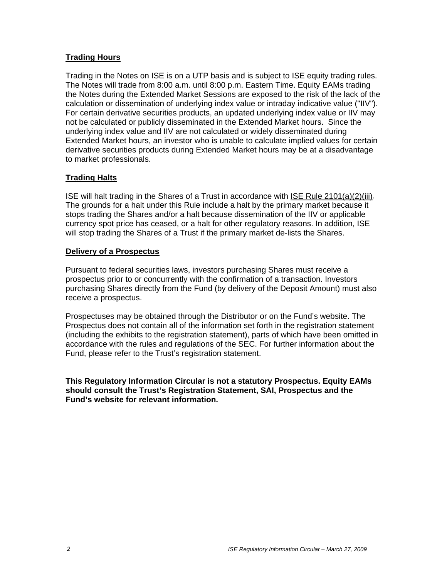## **Trading Hours**

Trading in the Notes on ISE is on a UTP basis and is subject to ISE equity trading rules. The Notes will trade from 8:00 a.m. until 8:00 p.m. Eastern Time. Equity EAMs trading the Notes during the Extended Market Sessions are exposed to the risk of the lack of the calculation or dissemination of underlying index value or intraday indicative value ("IIV"). For certain derivative securities products, an updated underlying index value or IIV may not be calculated or publicly disseminated in the Extended Market hours. Since the underlying index value and IIV are not calculated or widely disseminated during Extended Market hours, an investor who is unable to calculate implied values for certain derivative securities products during Extended Market hours may be at a disadvantage to market professionals.

## **Trading Halts**

ISE will halt trading in the Shares of a Trust in accordance with ISE Rule 2101(a)(2)(iii). The grounds for a halt under this Rule include a halt by the primary market because it stops trading the Shares and/or a halt because dissemination of the IIV or applicable currency spot price has ceased, or a halt for other regulatory reasons. In addition, ISE will stop trading the Shares of a Trust if the primary market de-lists the Shares.

#### **Delivery of a Prospectus**

Pursuant to federal securities laws, investors purchasing Shares must receive a prospectus prior to or concurrently with the confirmation of a transaction. Investors purchasing Shares directly from the Fund (by delivery of the Deposit Amount) must also receive a prospectus.

Prospectuses may be obtained through the Distributor or on the Fund's website. The Prospectus does not contain all of the information set forth in the registration statement (including the exhibits to the registration statement), parts of which have been omitted in accordance with the rules and regulations of the SEC. For further information about the Fund, please refer to the Trust's registration statement.

**This Regulatory Information Circular is not a statutory Prospectus. Equity EAMs should consult the Trust's Registration Statement, SAI, Prospectus and the Fund's website for relevant information.**